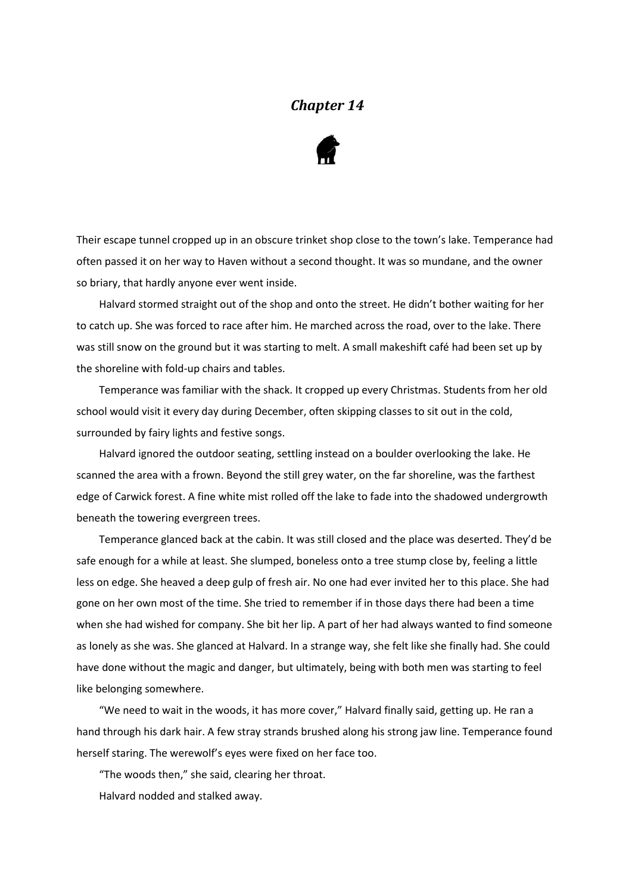## *Chapter 14*



Their escape tunnel cropped up in an obscure trinket shop close to the town's lake. Temperance had often passed it on her way to Haven without a second thought. It was so mundane, and the owner so briary, that hardly anyone ever went inside.

Halvard stormed straight out of the shop and onto the street. He didn't bother waiting for her to catch up. She was forced to race after him. He marched across the road, over to the lake. There was still snow on the ground but it was starting to melt. A small makeshift café had been set up by the shoreline with fold-up chairs and tables.

Temperance was familiar with the shack. It cropped up every Christmas. Students from her old school would visit it every day during December, often skipping classes to sit out in the cold, surrounded by fairy lights and festive songs.

Halvard ignored the outdoor seating, settling instead on a boulder overlooking the lake. He scanned the area with a frown. Beyond the still grey water, on the far shoreline, was the farthest edge of Carwick forest. A fine white mist rolled off the lake to fade into the shadowed undergrowth beneath the towering evergreen trees.

Temperance glanced back at the cabin. It was still closed and the place was deserted. They'd be safe enough for a while at least. She slumped, boneless onto a tree stump close by, feeling a little less on edge. She heaved a deep gulp of fresh air. No one had ever invited her to this place. She had gone on her own most of the time. She tried to remember if in those days there had been a time when she had wished for company. She bit her lip. A part of her had always wanted to find someone as lonely as she was. She glanced at Halvard. In a strange way, she felt like she finally had. She could have done without the magic and danger, but ultimately, being with both men was starting to feel like belonging somewhere.

"We need to wait in the woods, it has more cover," Halvard finally said, getting up. He ran a hand through his dark hair. A few stray strands brushed along his strong jaw line. Temperance found herself staring. The werewolf's eyes were fixed on her face too.

"The woods then," she said, clearing her throat.

Halvard nodded and stalked away.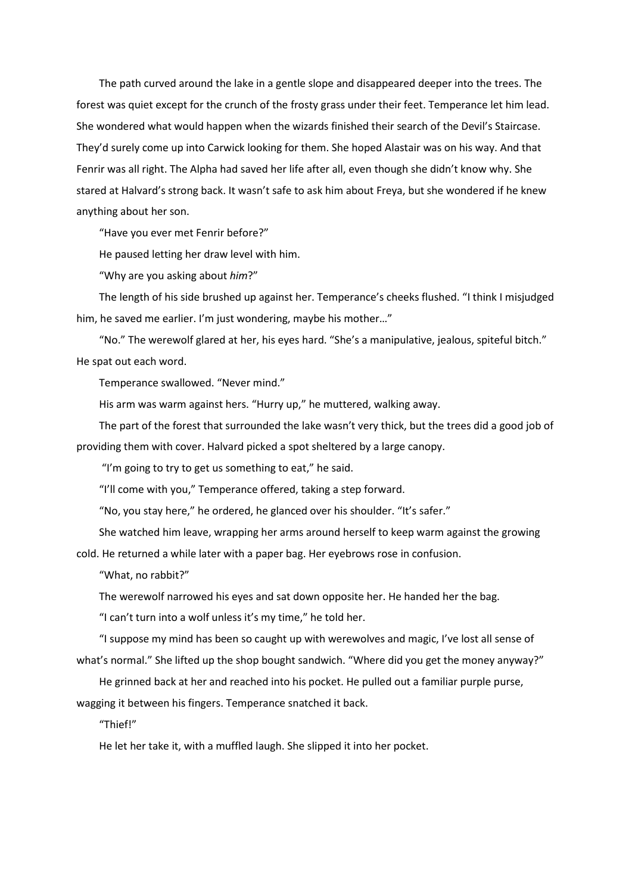The path curved around the lake in a gentle slope and disappeared deeper into the trees. The forest was quiet except for the crunch of the frosty grass under their feet. Temperance let him lead. She wondered what would happen when the wizards finished their search of the Devil's Staircase. They'd surely come up into Carwick looking for them. She hoped Alastair was on his way. And that Fenrir was all right. The Alpha had saved her life after all, even though she didn't know why. She stared at Halvard's strong back. It wasn't safe to ask him about Freya, but she wondered if he knew anything about her son.

"Have you ever met Fenrir before?"

He paused letting her draw level with him.

"Why are you asking about *him*?"

The length of his side brushed up against her. Temperance's cheeks flushed. "I think I misjudged him, he saved me earlier. I'm just wondering, maybe his mother…"

"No." The werewolf glared at her, his eyes hard. "She's a manipulative, jealous, spiteful bitch." He spat out each word.

Temperance swallowed. "Never mind."

His arm was warm against hers. "Hurry up," he muttered, walking away.

The part of the forest that surrounded the lake wasn't very thick, but the trees did a good job of providing them with cover. Halvard picked a spot sheltered by a large canopy.

"I'm going to try to get us something to eat," he said.

"I'll come with you," Temperance offered, taking a step forward.

"No, you stay here," he ordered, he glanced over his shoulder. "It's safer."

She watched him leave, wrapping her arms around herself to keep warm against the growing cold. He returned a while later with a paper bag. Her eyebrows rose in confusion.

"What, no rabbit?"

The werewolf narrowed his eyes and sat down opposite her. He handed her the bag.

"I can't turn into a wolf unless it's my time," he told her.

"I suppose my mind has been so caught up with werewolves and magic, I've lost all sense of what's normal." She lifted up the shop bought sandwich. "Where did you get the money anyway?"

He grinned back at her and reached into his pocket. He pulled out a familiar purple purse, wagging it between his fingers. Temperance snatched it back.

"Thief!"

He let her take it, with a muffled laugh. She slipped it into her pocket.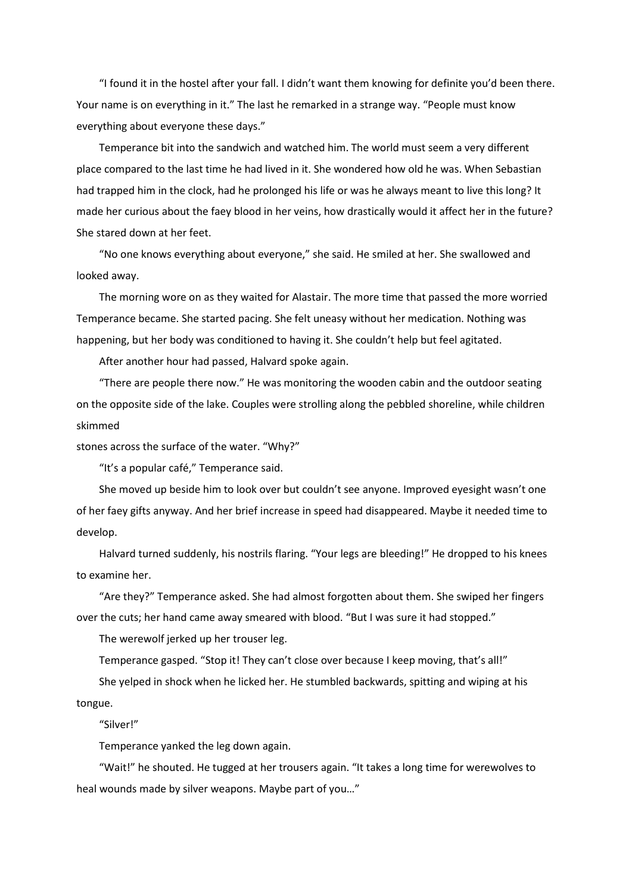"I found it in the hostel after your fall. I didn't want them knowing for definite you'd been there. Your name is on everything in it." The last he remarked in a strange way. "People must know everything about everyone these days."

Temperance bit into the sandwich and watched him. The world must seem a very different place compared to the last time he had lived in it. She wondered how old he was. When Sebastian had trapped him in the clock, had he prolonged his life or was he always meant to live this long? It made her curious about the faey blood in her veins, how drastically would it affect her in the future? She stared down at her feet.

"No one knows everything about everyone," she said. He smiled at her. She swallowed and looked away.

The morning wore on as they waited for Alastair. The more time that passed the more worried Temperance became. She started pacing. She felt uneasy without her medication. Nothing was happening, but her body was conditioned to having it. She couldn't help but feel agitated.

After another hour had passed, Halvard spoke again.

"There are people there now." He was monitoring the wooden cabin and the outdoor seating on the opposite side of the lake. Couples were strolling along the pebbled shoreline, while children skimmed

stones across the surface of the water. "Why?"

"It's a popular café," Temperance said.

She moved up beside him to look over but couldn't see anyone. Improved eyesight wasn't one of her faey gifts anyway. And her brief increase in speed had disappeared. Maybe it needed time to develop.

Halvard turned suddenly, his nostrils flaring. "Your legs are bleeding!" He dropped to his knees to examine her.

"Are they?" Temperance asked. She had almost forgotten about them. She swiped her fingers over the cuts; her hand came away smeared with blood. "But I was sure it had stopped."

The werewolf jerked up her trouser leg.

Temperance gasped. "Stop it! They can't close over because I keep moving, that's all!"

She yelped in shock when he licked her. He stumbled backwards, spitting and wiping at his tongue.

"Silver!"

Temperance yanked the leg down again.

"Wait!" he shouted. He tugged at her trousers again. "It takes a long time for werewolves to heal wounds made by silver weapons. Maybe part of you…"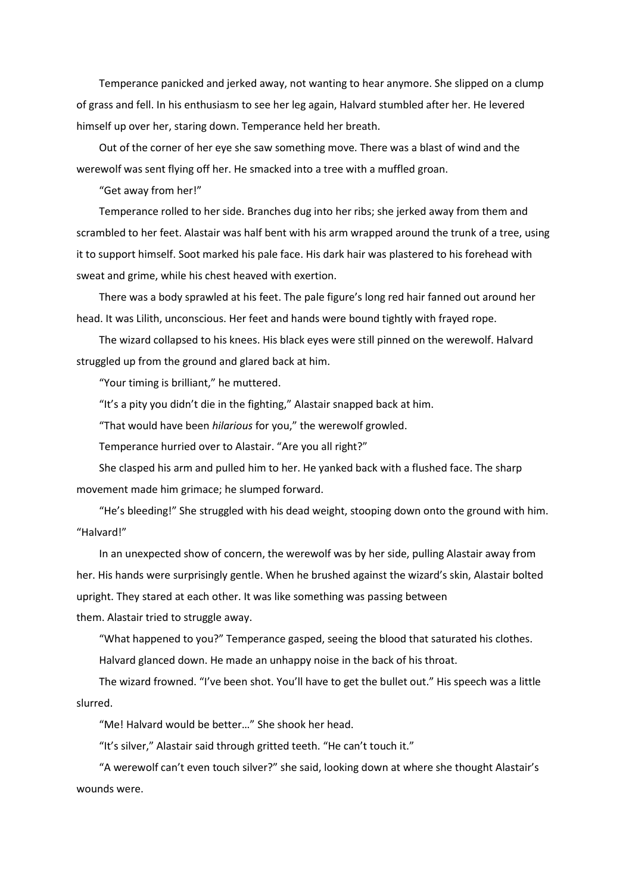Temperance panicked and jerked away, not wanting to hear anymore. She slipped on a clump of grass and fell. In his enthusiasm to see her leg again, Halvard stumbled after her. He levered himself up over her, staring down. Temperance held her breath.

Out of the corner of her eye she saw something move. There was a blast of wind and the werewolf was sent flying off her. He smacked into a tree with a muffled groan.

"Get away from her!"

Temperance rolled to her side. Branches dug into her ribs; she jerked away from them and scrambled to her feet. Alastair was half bent with his arm wrapped around the trunk of a tree, using it to support himself. Soot marked his pale face. His dark hair was plastered to his forehead with sweat and grime, while his chest heaved with exertion.

There was a body sprawled at his feet. The pale figure's long red hair fanned out around her head. It was Lilith, unconscious. Her feet and hands were bound tightly with frayed rope.

The wizard collapsed to his knees. His black eyes were still pinned on the werewolf. Halvard struggled up from the ground and glared back at him.

"Your timing is brilliant," he muttered.

"It's a pity you didn't die in the fighting," Alastair snapped back at him.

"That would have been *hilarious* for you," the werewolf growled.

Temperance hurried over to Alastair. "Are you all right?"

She clasped his arm and pulled him to her. He yanked back with a flushed face. The sharp movement made him grimace; he slumped forward.

"He's bleeding!" She struggled with his dead weight, stooping down onto the ground with him. "Halvard!"

In an unexpected show of concern, the werewolf was by her side, pulling Alastair away from her. His hands were surprisingly gentle. When he brushed against the wizard's skin, Alastair bolted upright. They stared at each other. It was like something was passing between them. Alastair tried to struggle away.

"What happened to you?" Temperance gasped, seeing the blood that saturated his clothes.

Halvard glanced down. He made an unhappy noise in the back of his throat.

The wizard frowned. "I've been shot. You'll have to get the bullet out." His speech was a little slurred.

"Me! Halvard would be better…" She shook her head.

"It's silver," Alastair said through gritted teeth. "He can't touch it."

"A werewolf can't even touch silver?" she said, looking down at where she thought Alastair's wounds were.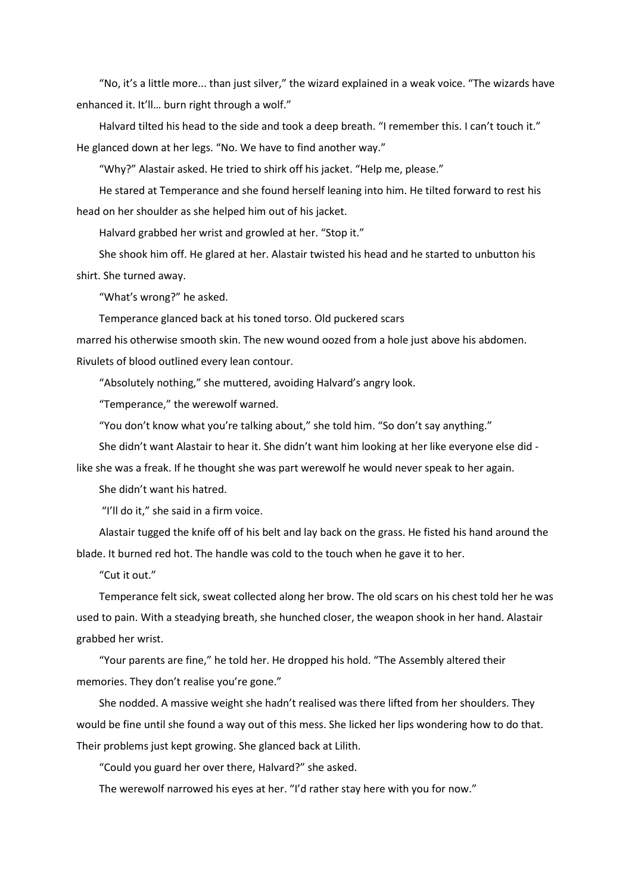"No, it's a little more... than just silver," the wizard explained in a weak voice. "The wizards have enhanced it. It'll… burn right through a wolf."

Halvard tilted his head to the side and took a deep breath. "I remember this. I can't touch it." He glanced down at her legs. "No. We have to find another way."

"Why?" Alastair asked. He tried to shirk off his jacket. "Help me, please."

He stared at Temperance and she found herself leaning into him. He tilted forward to rest his head on her shoulder as she helped him out of his jacket.

Halvard grabbed her wrist and growled at her. "Stop it."

She shook him off. He glared at her. Alastair twisted his head and he started to unbutton his shirt. She turned away.

"What's wrong?" he asked.

Temperance glanced back at his toned torso. Old puckered scars

marred his otherwise smooth skin. The new wound oozed from a hole just above his abdomen.

Rivulets of blood outlined every lean contour.

"Absolutely nothing," she muttered, avoiding Halvard's angry look.

"Temperance," the werewolf warned.

"You don't know what you're talking about," she told him. "So don't say anything."

She didn't want Alastair to hear it. She didn't want him looking at her like everyone else did -

like she was a freak. If he thought she was part werewolf he would never speak to her again.

She didn't want his hatred.

"I'll do it," she said in a firm voice.

Alastair tugged the knife off of his belt and lay back on the grass. He fisted his hand around the blade. It burned red hot. The handle was cold to the touch when he gave it to her.

"Cut it out."

Temperance felt sick, sweat collected along her brow. The old scars on his chest told her he was used to pain. With a steadying breath, she hunched closer, the weapon shook in her hand. Alastair grabbed her wrist.

"Your parents are fine," he told her. He dropped his hold. "The Assembly altered their memories. They don't realise you're gone."

She nodded. A massive weight she hadn't realised was there lifted from her shoulders. They would be fine until she found a way out of this mess. She licked her lips wondering how to do that. Their problems just kept growing. She glanced back at Lilith.

"Could you guard her over there, Halvard?" she asked.

The werewolf narrowed his eyes at her. "I'd rather stay here with you for now."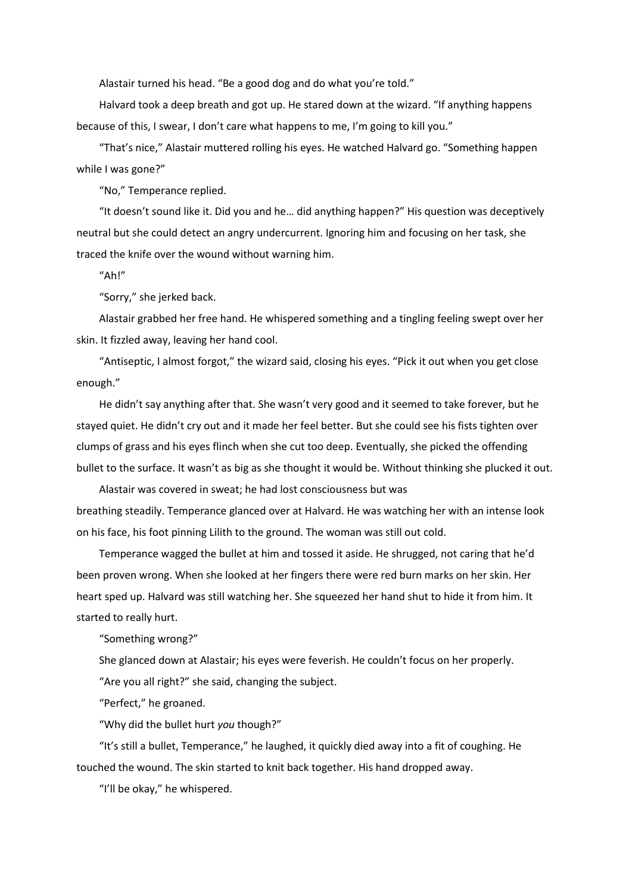Alastair turned his head. "Be a good dog and do what you're told."

Halvard took a deep breath and got up. He stared down at the wizard. "If anything happens because of this, I swear, I don't care what happens to me, I'm going to kill you."

"That's nice," Alastair muttered rolling his eyes. He watched Halvard go. "Something happen while I was gone?"

"No," Temperance replied.

"It doesn't sound like it. Did you and he… did anything happen?" His question was deceptively neutral but she could detect an angry undercurrent. Ignoring him and focusing on her task, she traced the knife over the wound without warning him.

"Ah!"

"Sorry," she jerked back.

Alastair grabbed her free hand. He whispered something and a tingling feeling swept over her skin. It fizzled away, leaving her hand cool.

"Antiseptic, I almost forgot," the wizard said, closing his eyes. "Pick it out when you get close enough."

He didn't say anything after that. She wasn't very good and it seemed to take forever, but he stayed quiet. He didn't cry out and it made her feel better. But she could see his fists tighten over clumps of grass and his eyes flinch when she cut too deep. Eventually, she picked the offending bullet to the surface. It wasn't as big as she thought it would be. Without thinking she plucked it out.

Alastair was covered in sweat; he had lost consciousness but was breathing steadily. Temperance glanced over at Halvard. He was watching her with an intense look on his face, his foot pinning Lilith to the ground. The woman was still out cold.

Temperance wagged the bullet at him and tossed it aside. He shrugged, not caring that he'd been proven wrong. When she looked at her fingers there were red burn marks on her skin. Her heart sped up. Halvard was still watching her. She squeezed her hand shut to hide it from him. It started to really hurt.

"Something wrong?"

She glanced down at Alastair; his eyes were feverish. He couldn't focus on her properly.

"Are you all right?" she said, changing the subject.

"Perfect," he groaned.

"Why did the bullet hurt *you* though?"

"It's still a bullet, Temperance," he laughed, it quickly died away into a fit of coughing. He touched the wound. The skin started to knit back together. His hand dropped away.

"I'll be okay," he whispered.